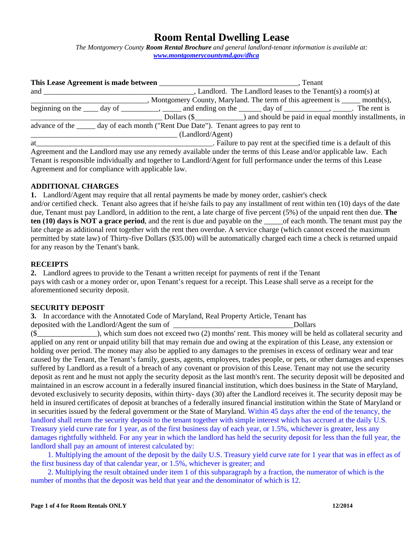# **Room Rental Dwelling Lease**

*The Montgomery County Room Rental Brochure and general landlord-tenant information is available at: www.montgomerycountymd.gov/dhca* 

|     |                                                                                              | . Tenant                                                                                                                                                                                                                                          |  |  |
|-----|----------------------------------------------------------------------------------------------|---------------------------------------------------------------------------------------------------------------------------------------------------------------------------------------------------------------------------------------------------|--|--|
| and |                                                                                              | $\Box$ , Landlord. The Landlord leases to the Tenant(s) a room(s) at                                                                                                                                                                              |  |  |
|     |                                                                                              | , Montgomery County, Maryland. The term of this agreement is ______ month(s),                                                                                                                                                                     |  |  |
|     |                                                                                              | beginning on the $\_\_\_$ day of $\_\_\_\_\_\$ , $\_\_\_\_\$ and ending on the $\_\_\_\_$ day of $\_\_\_\_\_\_\$ . The rent is                                                                                                                    |  |  |
|     |                                                                                              | Dollars (\$) and should be paid in equal monthly installments, in                                                                                                                                                                                 |  |  |
|     | advance of the <u>same day</u> of each month ("Rent Due Date"). Tenant agrees to pay rent to |                                                                                                                                                                                                                                                   |  |  |
|     | (Landlord/Agent)                                                                             |                                                                                                                                                                                                                                                   |  |  |
| at  |                                                                                              | . Failure to pay rent at the specified time is a default of this                                                                                                                                                                                  |  |  |
|     |                                                                                              | Agreement and the Landlord may use any remedy available under the terms of this Lease and/or applicable law. Each                                                                                                                                 |  |  |
|     |                                                                                              | $\mathbf{T}$ , and in the second that $\mathbf{t}$ , and $\mathbf{t}$ , and $\mathbf{t}$ , and $\mathbf{t}$ , and $\mathbf{t}$ , and $\mathbf{t}$ , and a second of $\mathbf{t}$ , and $\mathbf{t}$ at $\mathbf{t}$ , $\mathbf{t}$ , $\mathbf{t}$ |  |  |

Tenant is responsible individually and together to Landlord/Agent for full performance under the terms of this Lease Agreement and for compliance with applicable law.

# **ADDITIONAL CHARGES**

**1.** Landlord/Agent may require that all rental payments be made by money order, cashier's check and/or certified check. Tenant also agrees that if he/she fails to pay any installment of rent within ten (10) days of the date due, Tenant must pay Landlord, in addition to the rent, a late charge of five percent (5%) of the unpaid rent then due. **The ten (10) days is NOT a grace period**, and the rent is due and payable on the \_\_\_\_\_of each month. The tenant must pay the late charge as additional rent together with the rent then overdue. A service charge (which cannot exceed the maximum permitted by state law) of Thirty-five Dollars (\$35.00) will be automatically charged each time a check is returned unpaid for any reason by the Tenant's bank.

# **RECEIPTS**

**2.** Landlord agrees to provide to the Tenant a written receipt for payments of rent if the Tenant pays with cash or a money order or, upon Tenant's request for a receipt. This Lease shall serve as a receipt for the aforementioned security deposit.

# **SECURITY DEPOSIT**

**3.** In accordance with the Annotated Code of Maryland, Real Property Article, Tenant has

deposited with the Landlord/Agent the sum of Theorem 2012 and Dollars  $(\S$   $\qquad \qquad$ ), which sum does not exceed two (2) months' rent. This money will be held as collateral security and applied on any rent or unpaid utility bill that may remain due and owing at the expiration of this Lease, any extension or holding over period. The money may also be applied to any damages to the premises in excess of ordinary wear and tear caused by the Tenant, the Tenant's family, guests, agents, employees, trades people, or pets, or other damages and expenses suffered by Landlord as a result of a breach of any covenant or provision of this Lease. Tenant may not use the security deposit as rent and he must not apply the security deposit as the last month's rent. The security deposit will be deposited and maintained in an escrow account in a federally insured financial institution, which does business in the State of Maryland, devoted exclusively to security deposits, within thirty- days (30) after the Landlord receives it. The security deposit may be held in insured certificates of deposit at branches of a federally insured financial institution within the State of Maryland or in securities issued by the federal government or the State of Maryland. Within 45 days after the end of the tenancy, the landlord shall return the security deposit to the tenant together with simple interest which has accrued at the daily U.S. Treasury yield curve rate for 1 year, as of the first business day of each year, or 1.5%, whichever is greater, less any damages rightfully withheld. For any year in which the landlord has held the security deposit for less than the full year, the landlord shall pay an amount of interest calculated by:

 1. Multiplying the amount of the deposit by the daily U.S. Treasury yield curve rate for 1 year that was in effect as of the first business day of that calendar year, or 1.5%, whichever is greater; and

 2. Multiplying the result obtained under item 1 of this subparagraph by a fraction, the numerator of which is the number of months that the deposit was held that year and the denominator of which is 12.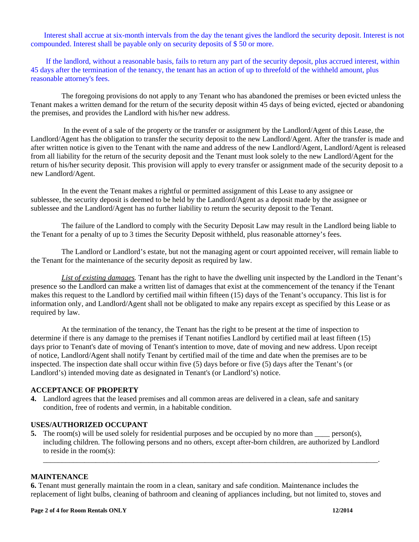Interest shall accrue at six-month intervals from the day the tenant gives the landlord the security deposit. Interest is not compounded. Interest shall be payable only on security deposits of \$ 50 or more.

 If the landlord, without a reasonable basis, fails to return any part of the security deposit, plus accrued interest, within 45 days after the termination of the tenancy, the tenant has an action of up to threefold of the withheld amount, plus reasonable attorney's fees.

The foregoing provisions do not apply to any Tenant who has abandoned the premises or been evicted unless the Tenant makes a written demand for the return of the security deposit within 45 days of being evicted, ejected or abandoning the premises, and provides the Landlord with his/her new address.

 In the event of a sale of the property or the transfer or assignment by the Landlord/Agent of this Lease, the Landlord/Agent has the obligation to transfer the security deposit to the new Landlord/Agent. After the transfer is made and after written notice is given to the Tenant with the name and address of the new Landlord/Agent, Landlord/Agent is released from all liability for the return of the security deposit and the Tenant must look solely to the new Landlord/Agent for the return of his/her security deposit. This provision will apply to every transfer or assignment made of the security deposit to a new Landlord/Agent.

In the event the Tenant makes a rightful or permitted assignment of this Lease to any assignee or sublessee, the security deposit is deemed to be held by the Landlord/Agent as a deposit made by the assignee or sublessee and the Landlord/Agent has no further liability to return the security deposit to the Tenant.

The failure of the Landlord to comply with the Security Deposit Law may result in the Landlord being liable to the Tenant for a penalty of up to 3 times the Security Deposit withheld, plus reasonable attorney's fees.

The Landlord or Landlord's estate, but not the managing agent or court appointed receiver, will remain liable to the Tenant for the maintenance of the security deposit as required by law.

*List of existing damages.* Tenant has the right to have the dwelling unit inspected by the Landlord in the Tenant's presence so the Landlord can make a written list of damages that exist at the commencement of the tenancy if the Tenant makes this request to the Landlord by certified mail within fifteen (15) days of the Tenant's occupancy. This list is for information only, and Landlord/Agent shall not be obligated to make any repairs except as specified by this Lease or as required by law.

At the termination of the tenancy, the Tenant has the right to be present at the time of inspection to determine if there is any damage to the premises if Tenant notifies Landlord by certified mail at least fifteen (15) days prior to Tenant's date of moving of Tenant's intention to move, date of moving and new address. Upon receipt of notice, Landlord/Agent shall notify Tenant by certified mail of the time and date when the premises are to be inspected. The inspection date shall occur within five (5) days before or five (5) days after the Tenant's (or Landlord's) intended moving date as designated in Tenant's (or Landlord's) notice.

# **ACCEPTANCE OF PROPERTY**

**4.** Landlord agrees that the leased premises and all common areas are delivered in a clean, safe and sanitary condition, free of rodents and vermin, in a habitable condition.

#### **USES/AUTHORIZED OCCUPANT**

**5.** The room(s) will be used solely for residential purposes and be occupied by no more than \_\_\_\_ person(s), including children. The following persons and no others, except after-born children, are authorized by Landlord to reside in the room(s):

\_\_\_\_\_\_\_\_\_\_\_\_\_\_\_\_\_\_\_\_\_\_\_\_\_\_\_\_\_\_\_\_\_\_\_\_\_\_\_\_\_\_\_\_\_\_\_\_\_\_\_\_\_\_\_\_\_\_\_\_\_\_\_\_\_\_\_\_\_\_\_\_\_\_\_\_\_\_\_\_\_\_\_\_\_\_\_\_\_.

#### **MAINTENANCE**

**6.** Tenant must generally maintain the room in a clean, sanitary and safe condition. Maintenance includes the replacement of light bulbs, cleaning of bathroom and cleaning of appliances including, but not limited to, stoves and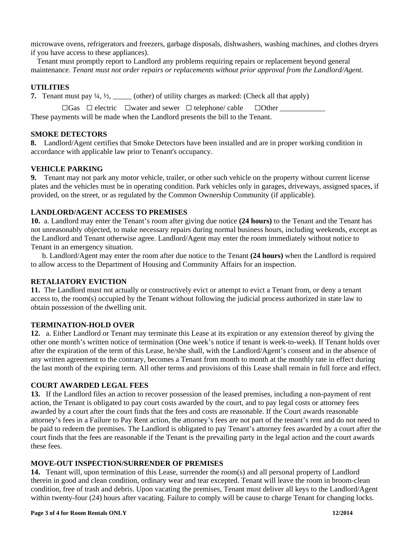microwave ovens, refrigerators and freezers, garbage disposals, dishwashers, washing machines, and clothes dryers if you have access to these appliances).

Tenant must promptly report to Landlord any problems requiring repairs or replacement beyond general maintenance. *Tenant must not order repairs or replacements without prior approval from the Landlord/Agent.* 

# **UTILITIES**

**7.** Tenant must pay  $\frac{1}{4}$ ,  $\frac{1}{2}$ , \_\_\_\_\_ (other) of utility charges as marked: (Check all that apply)

 $\Box$ Gas  $\Box$  electric  $\Box$  water and sewer  $\Box$  telephone/ cable  $\Box$  Other These payments will be made when the Landlord presents the bill to the Tenant.

# **SMOKE DETECTORS**

**8.** Landlord/Agent certifies that Smoke Detectors have been installed and are in proper working condition in accordance with applicable law prior to Tenant's occupancy.

# **VEHICLE PARKING**

**9.** Tenant may not park any motor vehicle, trailer, or other such vehicle on the property without current license plates and the vehicles must be in operating condition. Park vehicles only in garages, driveways, assigned spaces, if provided, on the street, or as regulated by the Common Ownership Community (if applicable).

# **LANDLORD/AGENT ACCESS TO PREMISES**

**10.** a. Landlord may enter the Tenant's room after giving due notice **(24 hours)** to the Tenant and the Tenant has not unreasonably objected, to make necessary repairs during normal business hours, including weekends, except as the Landlord and Tenant otherwise agree. Landlord/Agent may enter the room immediately without notice to Tenant in an emergency situation.

b. Landlord/Agent may enter the room after due notice to the Tenant **(24 hours)** when the Landlord is required to allow access to the Department of Housing and Community Affairs for an inspection.

# **RETALIATORY EVICTION**

**11.** The Landlord must not actually or constructively evict or attempt to evict a Tenant from, or deny a tenant access to, the room(s) occupied by the Tenant without following the judicial process authorized in state law to obtain possession of the dwelling unit.

# **TERMINATION-HOLD OVER**

**12.** a. Either Landlord or Tenant may terminate this Lease at its expiration or any extension thereof by giving the other one month's written notice of termination (One week's notice if tenant is week-to-week). If Tenant holds over after the expiration of the term of this Lease, he/she shall, with the Landlord/Agent's consent and in the absence of any written agreement to the contrary, becomes a Tenant from month to month at the monthly rate in effect during the last month of the expiring term. All other terms and provisions of this Lease shall remain in full force and effect.

# **COURT AWARDED LEGAL FEES**

**13.** If the Landlord files an action to recover possession of the leased premises, including a non-payment of rent action, the Tenant is obligated to pay court costs awarded by the court, and to pay legal costs or attorney fees awarded by a court after the court finds that the fees and costs are reasonable. If the Court awards reasonable attorney's fees in a Failure to Pay Rent action, the attorney's fees are not part of the tenant's rent and do not need to be paid to redeem the premises. The Landlord is obligated to pay Tenant's attorney fees awarded by a court after the court finds that the fees are reasonable if the Tenant is the prevailing party in the legal action and the court awards these fees.

# **MOVE-OUT INSPECTION/SURRENDER OF PREMISES**

**14.** Tenant will, upon termination of this Lease, surrender the room(s) and all personal property of Landlord therein in good and clean condition, ordinary wear and tear excepted. Tenant will leave the room in broom-clean condition, free of trash and debris. Upon vacating the premises, Tenant must deliver all keys to the Landlord/Agent within twenty-four (24) hours after vacating. Failure to comply will be cause to charge Tenant for changing locks.